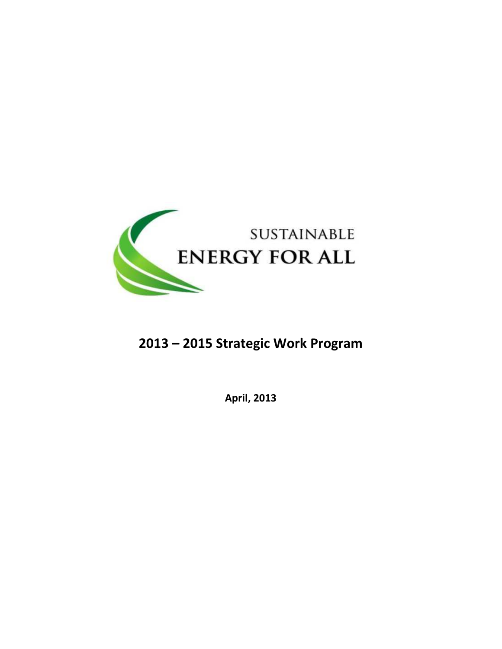

# 2013 – 2015 Strategic Work Program

April, 2013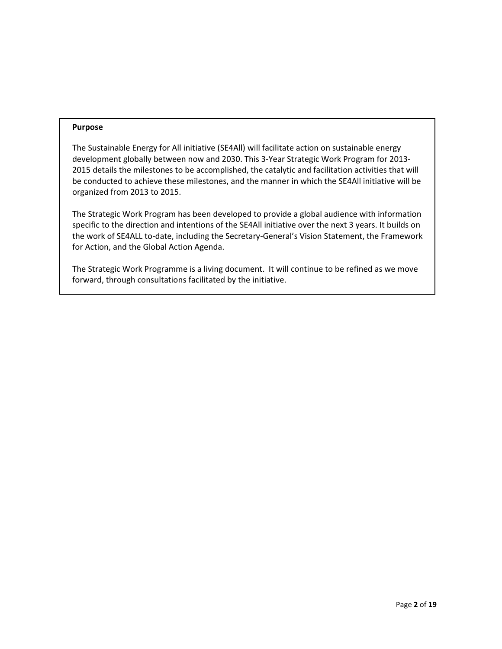#### Purpose

The Sustainable Energy for All initiative (SE4All) will facilitate action on sustainable energy development globally between now and 2030. This 3-Year Strategic Work Program for 2013- 2015 details the milestones to be accomplished, the catalytic and facilitation activities that will be conducted to achieve these milestones, and the manner in which the SE4All initiative will be organized from 2013 to 2015.

The Strategic Work Program has been developed to provide a global audience with information specific to the direction and intentions of the SE4All initiative over the next 3 years. It builds on the work of SE4ALL to-date, including the Secretary-General's Vision Statement, the Framework for Action, and the Global Action Agenda.

The Strategic Work Programme is a living document. It will continue to be refined as we move forward, through consultations facilitated by the initiative.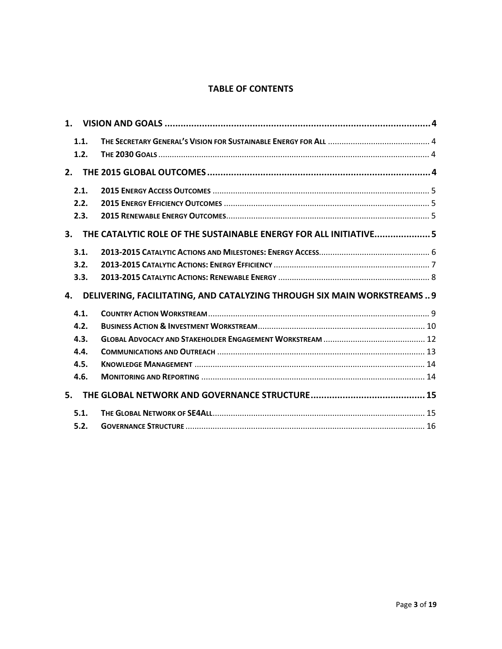# TABLE OF CONTENTS

| 1.1.           |                                                                        |  |
|----------------|------------------------------------------------------------------------|--|
| 1.2.           |                                                                        |  |
|                |                                                                        |  |
| 2.             |                                                                        |  |
| 2.1.           |                                                                        |  |
| 2.2.           |                                                                        |  |
| 2.3.           |                                                                        |  |
|                |                                                                        |  |
| 3 <sub>1</sub> | THE CATALYTIC ROLE OF THE SUSTAINABLE ENERGY FOR ALL INITIATIVE 5      |  |
| 3.1.           |                                                                        |  |
| 3.2.           |                                                                        |  |
| 3.3.           |                                                                        |  |
| 4.             | DELIVERING, FACILITATING, AND CATALYZING THROUGH SIX MAIN WORKSTREAMS9 |  |
| 4.1.           |                                                                        |  |
| 4.2.           |                                                                        |  |
| 4.3.           |                                                                        |  |
| 4.4.           |                                                                        |  |
| 4.5.           |                                                                        |  |
| 4.6.           |                                                                        |  |
| 5.             |                                                                        |  |
| 5.1.           |                                                                        |  |
| 5.2.           |                                                                        |  |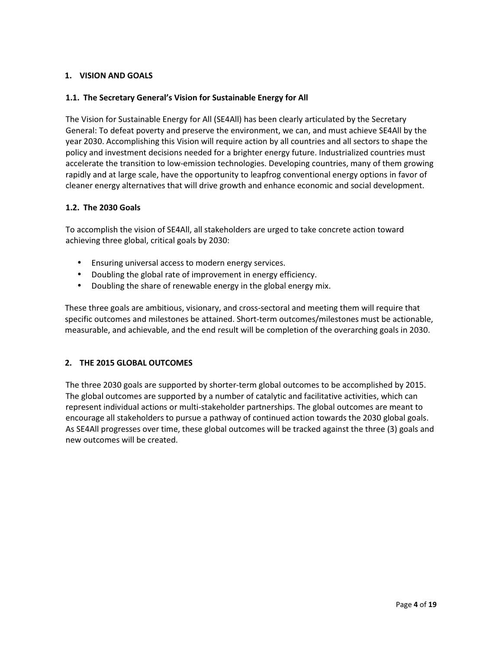## 1. VISION AND GOALS

#### 1.1. The Secretary General's Vision for Sustainable Energy for All

The Vision for Sustainable Energy for All (SE4All) has been clearly articulated by the Secretary General: To defeat poverty and preserve the environment, we can, and must achieve SE4All by the year 2030. Accomplishing this Vision will require action by all countries and all sectors to shape the policy and investment decisions needed for a brighter energy future. Industrialized countries must accelerate the transition to low-emission technologies. Developing countries, many of them growing rapidly and at large scale, have the opportunity to leapfrog conventional energy options in favor of cleaner energy alternatives that will drive growth and enhance economic and social development.

#### 1.2. The 2030 Goals

To accomplish the vision of SE4All, all stakeholders are urged to take concrete action toward achieving three global, critical goals by 2030:

- Ensuring universal access to modern energy services.
- Doubling the global rate of improvement in energy efficiency.
- Doubling the share of renewable energy in the global energy mix.

These three goals are ambitious, visionary, and cross-sectoral and meeting them will require that specific outcomes and milestones be attained. Short-term outcomes/milestones must be actionable, measurable, and achievable, and the end result will be completion of the overarching goals in 2030.

## 2. THE 2015 GLOBAL OUTCOMES

The three 2030 goals are supported by shorter-term global outcomes to be accomplished by 2015. The global outcomes are supported by a number of catalytic and facilitative activities, which can represent individual actions or multi-stakeholder partnerships. The global outcomes are meant to encourage all stakeholders to pursue a pathway of continued action towards the 2030 global goals. As SE4All progresses over time, these global outcomes will be tracked against the three (3) goals and new outcomes will be created.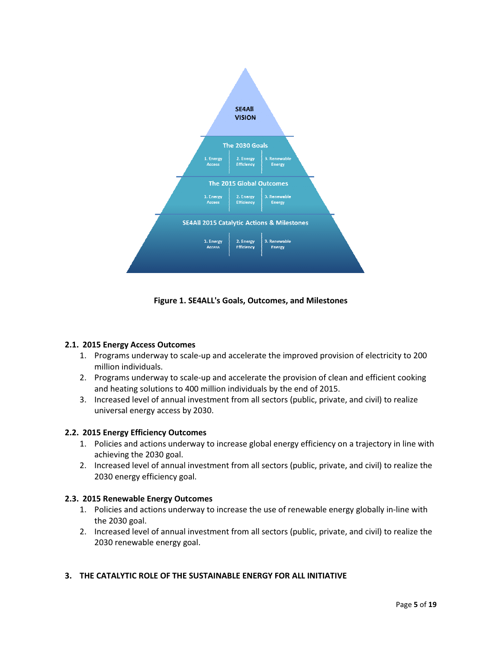

Figure 1. SE4ALL's Goals, Outcomes, and Milestones

## 2.1. 2015 Energy Access Outcomes

- 1. Programs underway to scale-up and accelerate the improved provision of electricity to 200 million individuals.
- 2. Programs underway to scale-up and accelerate the provision of clean and efficient cooking and heating solutions to 400 million individuals by the end of 2015.
- 3. Increased level of annual investment from all sectors (public, private, and civil) to realize universal energy access by 2030.

## 2.2. 2015 Energy Efficiency Outcomes

- 1. Policies and actions underway to increase global energy efficiency on a trajectory in line with achieving the 2030 goal.
- 2. Increased level of annual investment from all sectors (public, private, and civil) to realize the 2030 energy efficiency goal.

## 2.3. 2015 Renewable Energy Outcomes

- 1. Policies and actions underway to increase the use of renewable energy globally in-line with the 2030 goal.
- 2. Increased level of annual investment from all sectors (public, private, and civil) to realize the 2030 renewable energy goal.

# 3. THE CATALYTIC ROLE OF THE SUSTAINABLE ENERGY FOR ALL INITIATIVE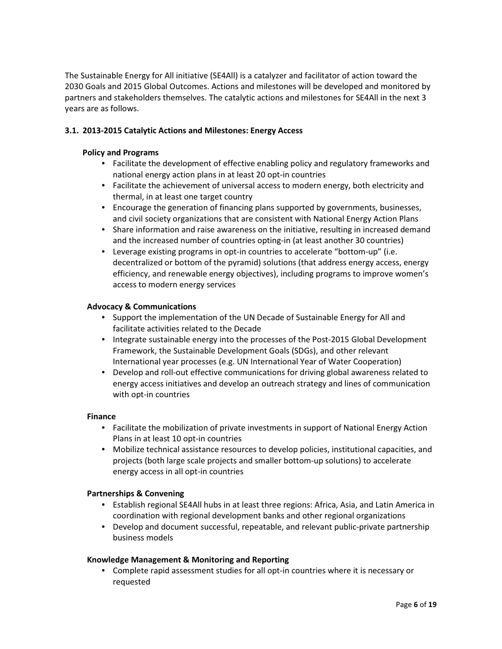The Sustainable Energy for All initiative (SE4All) is a catalyzer and facilitator of action toward the 2030 Goals and 2015 Global Outcomes. Actions and milestones will be developed and monitored by partners and stakeholders themselves. The catalytic actions and milestones for SE4All in the next 3 years are as follows.

## 3.1. 2013-2015 Catalytic Actions and Milestones: Energy Access

#### Policy and Programs

- Facilitate the development of effective enabling policy and regulatory frameworks and national energy action plans in at least 20 opt-in countries
- Facilitate the achievement of universal access to modern energy, both electricity and thermal, in at least one target country
- Encourage the generation of financing plans supported by governments, businesses, and civil society organizations that are consistent with National Energy Action Plans
- Share information and raise awareness on the initiative, resulting in increased demand and the increased number of countries opting-in (at least another 30 countries)
- Leverage existing programs in opt-in countries to accelerate "bottom-up" (i.e. decentralized or bottom of the pyramid) solutions (that address energy access, energy efficiency, and renewable energy objectives), including programs to improve women's access to modern energy services

#### Advocacy & Communications

- Support the implementation of the UN Decade of Sustainable Energy for All and facilitate activities related to the Decade
- Integrate sustainable energy into the processes of the Post-2015 Global Development Framework, the Sustainable Development Goals (SDGs), and other relevant International year processes (e.g. UN International Year of Water Cooperation)
- Develop and roll-out effective communications for driving global awareness related to energy access initiatives and develop an outreach strategy and lines of communication with opt-in countries

#### Finance

- Facilitate the mobilization of private investments in support of National Energy Action Plans in at least 10 opt-in countries
- Mobilize technical assistance resources to develop policies, institutional capacities, and projects (both large scale projects and smaller bottom-up solutions) to accelerate energy access in all opt-in countries

## Partnerships & Convening

- Establish regional SE4All hubs in at least three regions: Africa, Asia, and Latin America in coordination with regional development banks and other regional organizations
- Develop and document successful, repeatable, and relevant public-private partnership business models

## Knowledge Management & Monitoring and Reporting

• Complete rapid assessment studies for all opt-in countries where it is necessary or requested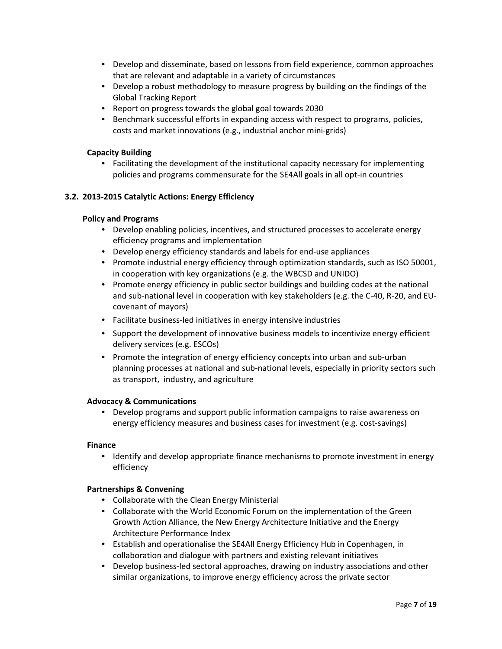- Develop and disseminate, based on lessons from field experience, common approaches that are relevant and adaptable in a variety of circumstances
- Develop a robust methodology to measure progress by building on the findings of the Global Tracking Report
- Report on progress towards the global goal towards 2030
- Benchmark successful efforts in expanding access with respect to programs, policies, costs and market innovations (e.g., industrial anchor mini-grids)

#### Capacity Building

• Facilitating the development of the institutional capacity necessary for implementing policies and programs commensurate for the SE4All goals in all opt-in countries

#### 3.2. 2013-2015 Catalytic Actions: Energy Efficiency

#### Policy and Programs

- Develop enabling policies, incentives, and structured processes to accelerate energy efficiency programs and implementation
- Develop energy efficiency standards and labels for end-use appliances
- Promote industrial energy efficiency through optimization standards, such as ISO 50001, in cooperation with key organizations (e.g. the WBCSD and UNIDO)
- Promote energy efficiency in public sector buildings and building codes at the national and sub-national level in cooperation with key stakeholders (e.g. the C-40, R-20, and EUcovenant of mayors)
- Facilitate business-led initiatives in energy intensive industries
- Support the development of innovative business models to incentivize energy efficient delivery services (e.g. ESCOs)
- Promote the integration of energy efficiency concepts into urban and sub-urban planning processes at national and sub-national levels, especially in priority sectors such as transport, industry, and agriculture

#### Advocacy & Communications

• Develop programs and support public information campaigns to raise awareness on energy efficiency measures and business cases for investment (e.g. cost-savings)

#### Finance

• Identify and develop appropriate finance mechanisms to promote investment in energy efficiency

## Partnerships & Convening

- Collaborate with the Clean Energy Ministerial
- Collaborate with the World Economic Forum on the implementation of the Green Growth Action Alliance, the New Energy Architecture Initiative and the Energy Architecture Performance Index
- Establish and operationalise the SE4All Energy Efficiency Hub in Copenhagen, in collaboration and dialogue with partners and existing relevant initiatives
- Develop business-led sectoral approaches, drawing on industry associations and other similar organizations, to improve energy efficiency across the private sector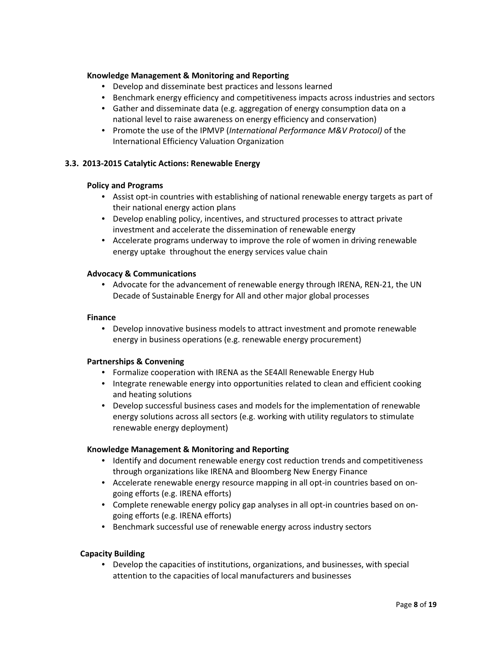#### Knowledge Management & Monitoring and Reporting

- Develop and disseminate best practices and lessons learned
- Benchmark energy efficiency and competitiveness impacts across industries and sectors
- Gather and disseminate data (e.g. aggregation of energy consumption data on a national level to raise awareness on energy efficiency and conservation)
- Promote the use of the IPMVP (International Performance M&V Protocol) of the International Efficiency Valuation Organization

#### 3.3. 2013-2015 Catalytic Actions: Renewable Energy

#### Policy and Programs

- Assist opt-in countries with establishing of national renewable energy targets as part of their national energy action plans
- Develop enabling policy, incentives, and structured processes to attract private investment and accelerate the dissemination of renewable energy
- Accelerate programs underway to improve the role of women in driving renewable energy uptake throughout the energy services value chain

#### Advocacy & Communications

• Advocate for the advancement of renewable energy through IRENA, REN-21, the UN Decade of Sustainable Energy for All and other major global processes

#### Finance

• Develop innovative business models to attract investment and promote renewable energy in business operations (e.g. renewable energy procurement)

#### Partnerships & Convening

- Formalize cooperation with IRENA as the SE4All Renewable Energy Hub
- Integrate renewable energy into opportunities related to clean and efficient cooking and heating solutions
- Develop successful business cases and models for the implementation of renewable energy solutions across all sectors (e.g. working with utility regulators to stimulate renewable energy deployment)

#### Knowledge Management & Monitoring and Reporting

- Identify and document renewable energy cost reduction trends and competitiveness through organizations like IRENA and Bloomberg New Energy Finance
- Accelerate renewable energy resource mapping in all opt-in countries based on ongoing efforts (e.g. IRENA efforts)
- Complete renewable energy policy gap analyses in all opt-in countries based on ongoing efforts (e.g. IRENA efforts)
- Benchmark successful use of renewable energy across industry sectors

#### Capacity Building

• Develop the capacities of institutions, organizations, and businesses, with special attention to the capacities of local manufacturers and businesses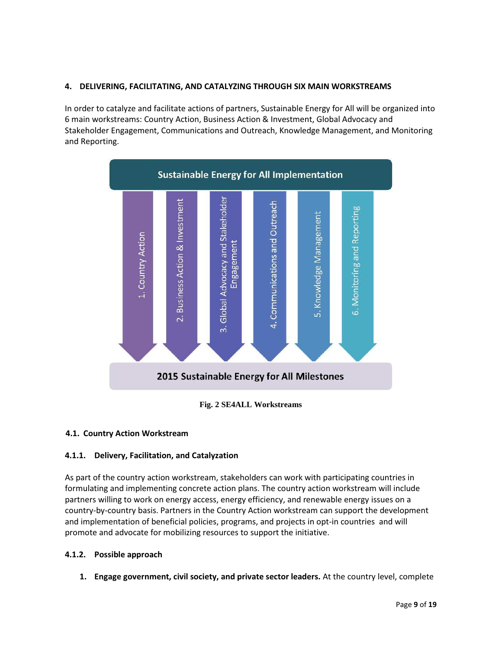## 4. DELIVERING, FACILITATING, AND CATALYZING THROUGH SIX MAIN WORKSTREAMS

In order to catalyze and facilitate actions of partners, Sustainable Energy for All will be organized into 6 main workstreams: Country Action, Business Action & Investment, Global Advocacy and Stakeholder Engagement, Communications and Outreach, Knowledge Management, and Monitoring and Reporting.



## **Fig. 2 SE4ALL Workstreams**

## 4.1. Country Action Workstream

## 4.1.1. Delivery, Facilitation, and Catalyzation

As part of the country action workstream, stakeholders can work with participating countries in formulating and implementing concrete action plans. The country action workstream will include partners willing to work on energy access, energy efficiency, and renewable energy issues on a country-by-country basis. Partners in the Country Action workstream can support the development and implementation of beneficial policies, programs, and projects in opt-in countries and will promote and advocate for mobilizing resources to support the initiative.

## 4.1.2. Possible approach

1. Engage government, civil society, and private sector leaders. At the country level, complete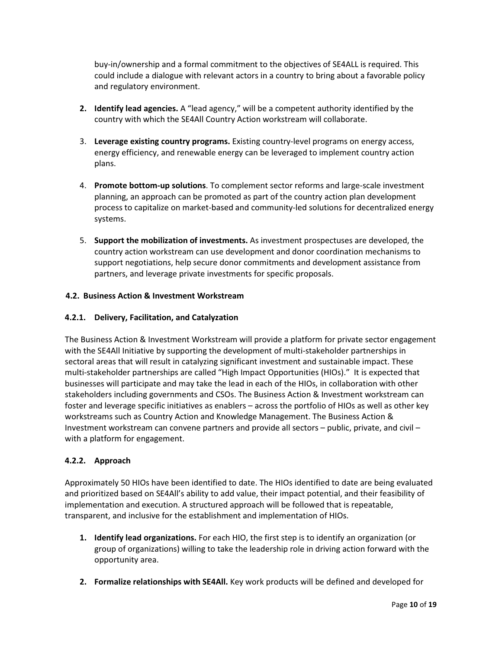buy-in/ownership and a formal commitment to the objectives of SE4ALL is required. This could include a dialogue with relevant actors in a country to bring about a favorable policy and regulatory environment.

- 2. Identify lead agencies. A "lead agency," will be a competent authority identified by the country with which the SE4All Country Action workstream will collaborate.
- 3. Leverage existing country programs. Existing country-level programs on energy access, energy efficiency, and renewable energy can be leveraged to implement country action plans.
- 4. Promote bottom-up solutions. To complement sector reforms and large-scale investment planning, an approach can be promoted as part of the country action plan development process to capitalize on market-based and community-led solutions for decentralized energy systems.
- 5. Support the mobilization of investments. As investment prospectuses are developed, the country action workstream can use development and donor coordination mechanisms to support negotiations, help secure donor commitments and development assistance from partners, and leverage private investments for specific proposals.

## 4.2. Business Action & Investment Workstream

## 4.2.1. Delivery, Facilitation, and Catalyzation

The Business Action & Investment Workstream will provide a platform for private sector engagement with the SE4All Initiative by supporting the development of multi-stakeholder partnerships in sectoral areas that will result in catalyzing significant investment and sustainable impact. These multi-stakeholder partnerships are called "High Impact Opportunities (HIOs)." It is expected that businesses will participate and may take the lead in each of the HIOs, in collaboration with other stakeholders including governments and CSOs. The Business Action & Investment workstream can foster and leverage specific initiatives as enablers – across the portfolio of HIOs as well as other key workstreams such as Country Action and Knowledge Management. The Business Action & Investment workstream can convene partners and provide all sectors – public, private, and civil – with a platform for engagement.

## 4.2.2. Approach

Approximately 50 HIOs have been identified to date. The HIOs identified to date are being evaluated and prioritized based on SE4All's ability to add value, their impact potential, and their feasibility of implementation and execution. A structured approach will be followed that is repeatable, transparent, and inclusive for the establishment and implementation of HIOs.

- 1. Identify lead organizations. For each HIO, the first step is to identify an organization (or group of organizations) willing to take the leadership role in driving action forward with the opportunity area.
- 2. Formalize relationships with SE4All. Key work products will be defined and developed for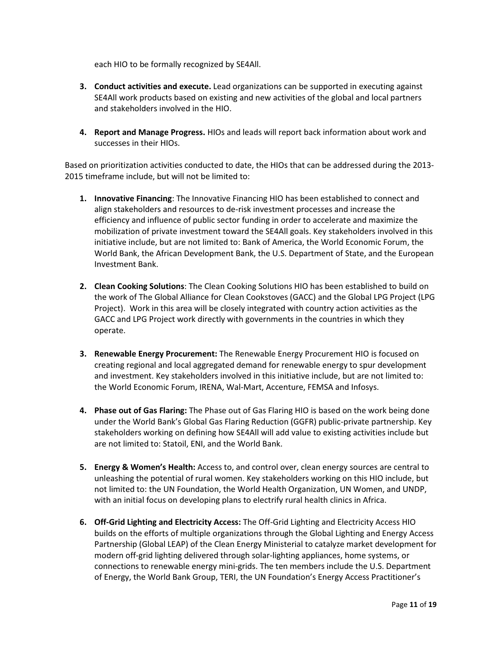each HIO to be formally recognized by SE4All.

- **3.** Conduct activities and execute. Lead organizations can be supported in executing against SE4All work products based on existing and new activities of the global and local partners and stakeholders involved in the HIO.
- 4. Report and Manage Progress. HIOs and leads will report back information about work and successes in their HIOs.

Based on prioritization activities conducted to date, the HIOs that can be addressed during the 2013- 2015 timeframe include, but will not be limited to:

- 1. Innovative Financing: The Innovative Financing HIO has been established to connect and align stakeholders and resources to de-risk investment processes and increase the efficiency and influence of public sector funding in order to accelerate and maximize the mobilization of private investment toward the SE4All goals. Key stakeholders involved in this initiative include, but are not limited to: Bank of America, the World Economic Forum, the World Bank, the African Development Bank, the U.S. Department of State, and the European Investment Bank.
- 2. Clean Cooking Solutions: The Clean Cooking Solutions HIO has been established to build on the work of The Global Alliance for Clean Cookstoves (GACC) and the Global LPG Project (LPG Project). Work in this area will be closely integrated with country action activities as the GACC and LPG Project work directly with governments in the countries in which they operate.
- **3. Renewable Energy Procurement:** The Renewable Energy Procurement HIO is focused on creating regional and local aggregated demand for renewable energy to spur development and investment. Key stakeholders involved in this initiative include, but are not limited to: the World Economic Forum, IRENA, Wal-Mart, Accenture, FEMSA and Infosys.
- 4. Phase out of Gas Flaring: The Phase out of Gas Flaring HIO is based on the work being done under the World Bank's Global Gas Flaring Reduction (GGFR) public-private partnership. Key stakeholders working on defining how SE4All will add value to existing activities include but are not limited to: Statoil, ENI, and the World Bank.
- 5. Energy & Women's Health: Access to, and control over, clean energy sources are central to unleashing the potential of rural women. Key stakeholders working on this HIO include, but not limited to: the UN Foundation, the World Health Organization, UN Women, and UNDP, with an initial focus on developing plans to electrify rural health clinics in Africa.
- 6. Off-Grid Lighting and Electricity Access: The Off-Grid Lighting and Electricity Access HIO builds on the efforts of multiple organizations through the Global Lighting and Energy Access Partnership (Global LEAP) of the Clean Energy Ministerial to catalyze market development for modern off-grid lighting delivered through solar-lighting appliances, home systems, or connections to renewable energy mini-grids. The ten members include the U.S. Department of Energy, the World Bank Group, TERI, the UN Foundation's Energy Access Practitioner's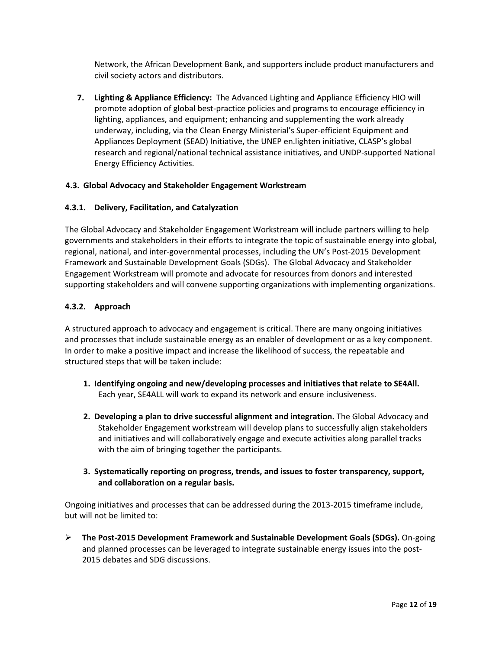Network, the African Development Bank, and supporters include product manufacturers and civil society actors and distributors.

7. Lighting & Appliance Efficiency: The Advanced Lighting and Appliance Efficiency HIO will promote adoption of global best-practice policies and programs to encourage efficiency in lighting, appliances, and equipment; enhancing and supplementing the work already underway, including, via the Clean Energy Ministerial's Super-efficient Equipment and Appliances Deployment (SEAD) Initiative, the UNEP en.lighten initiative, CLASP's global research and regional/national technical assistance initiatives, and UNDP-supported National Energy Efficiency Activities.

## 4.3. Global Advocacy and Stakeholder Engagement Workstream

## 4.3.1. Delivery, Facilitation, and Catalyzation

The Global Advocacy and Stakeholder Engagement Workstream will include partners willing to help governments and stakeholders in their efforts to integrate the topic of sustainable energy into global, regional, national, and inter-governmental processes, including the UN's Post-2015 Development Framework and Sustainable Development Goals (SDGs). The Global Advocacy and Stakeholder Engagement Workstream will promote and advocate for resources from donors and interested supporting stakeholders and will convene supporting organizations with implementing organizations.

## 4.3.2. Approach

A structured approach to advocacy and engagement is critical. There are many ongoing initiatives and processes that include sustainable energy as an enabler of development or as a key component. In order to make a positive impact and increase the likelihood of success, the repeatable and structured steps that will be taken include:

- 1. Identifying ongoing and new/developing processes and initiatives that relate to SE4All. Each year, SE4ALL will work to expand its network and ensure inclusiveness.
- 2. Developing a plan to drive successful alignment and integration. The Global Advocacy and Stakeholder Engagement workstream will develop plans to successfully align stakeholders and initiatives and will collaboratively engage and execute activities along parallel tracks with the aim of bringing together the participants.
- 3. Systematically reporting on progress, trends, and issues to foster transparency, support, and collaboration on a regular basis.

Ongoing initiatives and processes that can be addressed during the 2013-2015 timeframe include, but will not be limited to:

 $\triangleright$  The Post-2015 Development Framework and Sustainable Development Goals (SDGs). On-going and planned processes can be leveraged to integrate sustainable energy issues into the post-2015 debates and SDG discussions.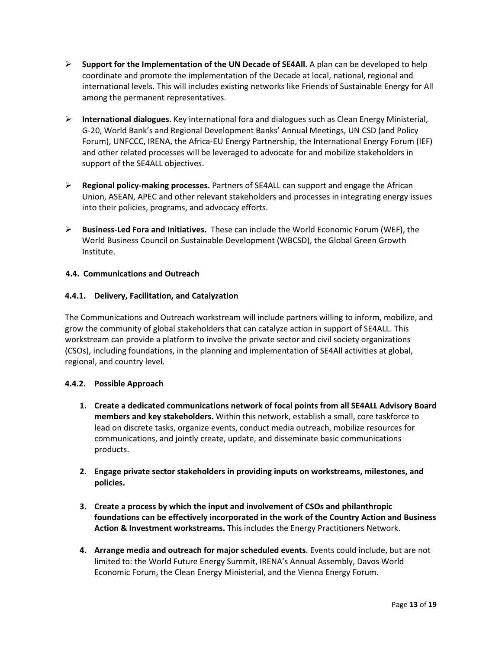- $\triangleright$  Support for the Implementation of the UN Decade of SE4All. A plan can be developed to help coordinate and promote the implementation of the Decade at local, national, regional and international levels. This will includes existing networks like Friends of Sustainable Energy for All among the permanent representatives.
- $\triangleright$  International dialogues. Key international fora and dialogues such as Clean Energy Ministerial, G-20, World Bank's and Regional Development Banks' Annual Meetings, UN CSD (and Policy Forum), UNFCCC, IRENA, the Africa-EU Energy Partnership, the International Energy Forum (IEF) and other related processes will be leveraged to advocate for and mobilize stakeholders in support of the SE4ALL objectives.
- $\triangleright$  Regional policy-making processes. Partners of SE4ALL can support and engage the African Union, ASEAN, APEC and other relevant stakeholders and processes in integrating energy issues into their policies, programs, and advocacy efforts.
- $\triangleright$  Business-Led Fora and Initiatives. These can include the World Economic Forum (WEF), the World Business Council on Sustainable Development (WBCSD), the Global Green Growth Institute.

## 4.4. Communications and Outreach

## 4.4.1. Delivery, Facilitation, and Catalyzation

The Communications and Outreach workstream will include partners willing to inform, mobilize, and grow the community of global stakeholders that can catalyze action in support of SE4ALL. This workstream can provide a platform to involve the private sector and civil society organizations (CSOs), including foundations, in the planning and implementation of SE4All activities at global, regional, and country level.

## 4.4.2. Possible Approach

- 1. Create a dedicated communications network of focal points from all SE4ALL Advisory Board members and key stakeholders. Within this network, establish a small, core taskforce to lead on discrete tasks, organize events, conduct media outreach, mobilize resources for communications, and jointly create, update, and disseminate basic communications products.
- 2. Engage private sector stakeholders in providing inputs on workstreams, milestones, and policies.
- 3. Create a process by which the input and involvement of CSOs and philanthropic foundations can be effectively incorporated in the work of the Country Action and Business Action & Investment workstreams. This includes the Energy Practitioners Network.
- 4. Arrange media and outreach for major scheduled events. Events could include, but are not limited to: the World Future Energy Summit, IRENA's Annual Assembly, Davos World Economic Forum, the Clean Energy Ministerial, and the Vienna Energy Forum.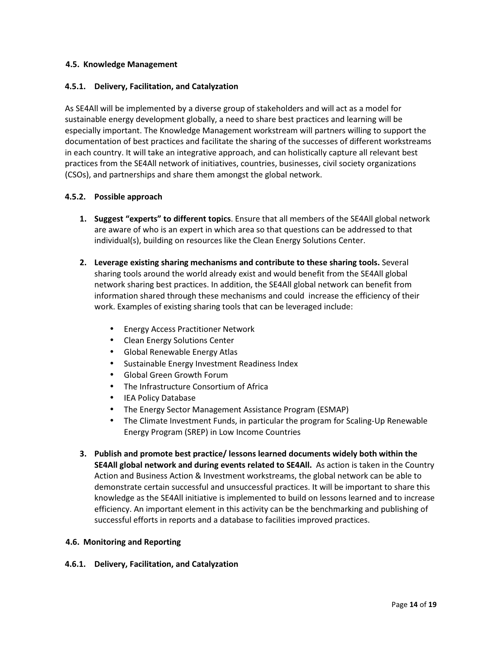## 4.5. Knowledge Management

#### 4.5.1. Delivery, Facilitation, and Catalyzation

As SE4All will be implemented by a diverse group of stakeholders and will act as a model for sustainable energy development globally, a need to share best practices and learning will be especially important. The Knowledge Management workstream will partners willing to support the documentation of best practices and facilitate the sharing of the successes of different workstreams in each country. It will take an integrative approach, and can holistically capture all relevant best practices from the SE4All network of initiatives, countries, businesses, civil society organizations (CSOs), and partnerships and share them amongst the global network.

#### 4.5.2. Possible approach

- 1. Suggest "experts" to different topics. Ensure that all members of the SE4All global network are aware of who is an expert in which area so that questions can be addressed to that individual(s), building on resources like the Clean Energy Solutions Center.
- 2. Leverage existing sharing mechanisms and contribute to these sharing tools. Several sharing tools around the world already exist and would benefit from the SE4All global network sharing best practices. In addition, the SE4All global network can benefit from information shared through these mechanisms and could increase the efficiency of their work. Examples of existing sharing tools that can be leveraged include:
	- Energy Access Practitioner Network
	- Clean Energy Solutions Center
	- Global Renewable Energy Atlas
	- Sustainable Energy Investment Readiness Index
	- Global Green Growth Forum
	- The Infrastructure Consortium of Africa
	- IEA Policy Database
	- The Energy Sector Management Assistance Program (ESMAP)
	- The Climate Investment Funds, in particular the program for Scaling-Up Renewable Energy Program (SREP) in Low Income Countries
- 3. Publish and promote best practice/ lessons learned documents widely both within the SE4All global network and during events related to SE4All. As action is taken in the Country Action and Business Action & Investment workstreams, the global network can be able to demonstrate certain successful and unsuccessful practices. It will be important to share this knowledge as the SE4All initiative is implemented to build on lessons learned and to increase efficiency. An important element in this activity can be the benchmarking and publishing of successful efforts in reports and a database to facilities improved practices.

## 4.6. Monitoring and Reporting

## 4.6.1. Delivery, Facilitation, and Catalyzation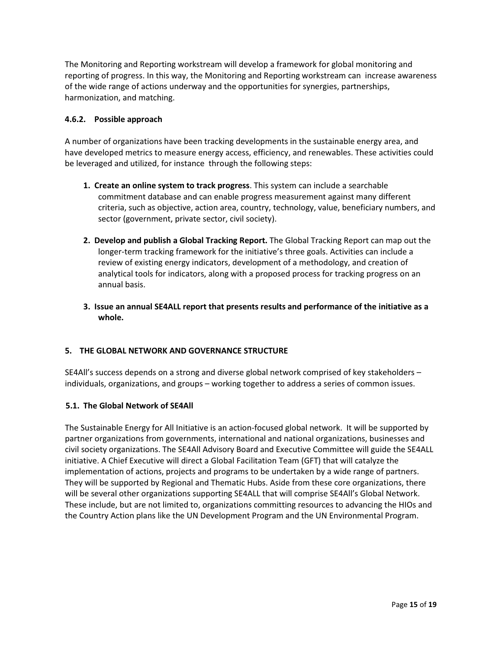The Monitoring and Reporting workstream will develop a framework for global monitoring and reporting of progress. In this way, the Monitoring and Reporting workstream can increase awareness of the wide range of actions underway and the opportunities for synergies, partnerships, harmonization, and matching.

## 4.6.2. Possible approach

A number of organizations have been tracking developments in the sustainable energy area, and have developed metrics to measure energy access, efficiency, and renewables. These activities could be leveraged and utilized, for instance through the following steps:

- **1. Create an online system to track progress**. This system can include a searchable commitment database and can enable progress measurement against many different criteria, such as objective, action area, country, technology, value, beneficiary numbers, and sector (government, private sector, civil society).
- 2. Develop and publish a Global Tracking Report. The Global Tracking Report can map out the longer-term tracking framework for the initiative's three goals. Activities can include a review of existing energy indicators, development of a methodology, and creation of analytical tools for indicators, along with a proposed process for tracking progress on an annual basis.
- 3. Issue an annual SE4ALL report that presents results and performance of the initiative as a whole.

# 5. THE GLOBAL NETWORK AND GOVERNANCE STRUCTURE

SE4All's success depends on a strong and diverse global network comprised of key stakeholders – individuals, organizations, and groups – working together to address a series of common issues.

## 5.1. The Global Network of SE4All

The Sustainable Energy for All Initiative is an action-focused global network. It will be supported by partner organizations from governments, international and national organizations, businesses and civil society organizations. The SE4All Advisory Board and Executive Committee will guide the SE4ALL initiative. A Chief Executive will direct a Global Facilitation Team (GFT) that will catalyze the implementation of actions, projects and programs to be undertaken by a wide range of partners. They will be supported by Regional and Thematic Hubs. Aside from these core organizations, there will be several other organizations supporting SE4ALL that will comprise SE4All's Global Network. These include, but are not limited to, organizations committing resources to advancing the HIOs and the Country Action plans like the UN Development Program and the UN Environmental Program.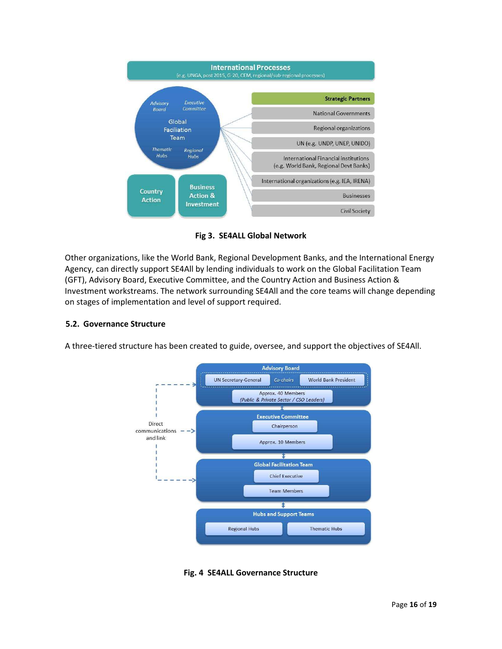

Fig 3. SE4ALL Global Network

Other organizations, like the World Bank, Regional Development Banks, and the International Energy Agency, can directly support SE4All by lending individuals to work on the Global Facilitation Team (GFT), Advisory Board, Executive Committee, and the Country Action and Business Action & Investment workstreams. The network surrounding SE4All and the core teams will change depending on stages of implementation and level of support required.

# 5.2. Governance Structure

A three-tiered structure has been created to guide, oversee, and support the objectives of SE4All.



Fig. 4 SE4ALL Governance Structure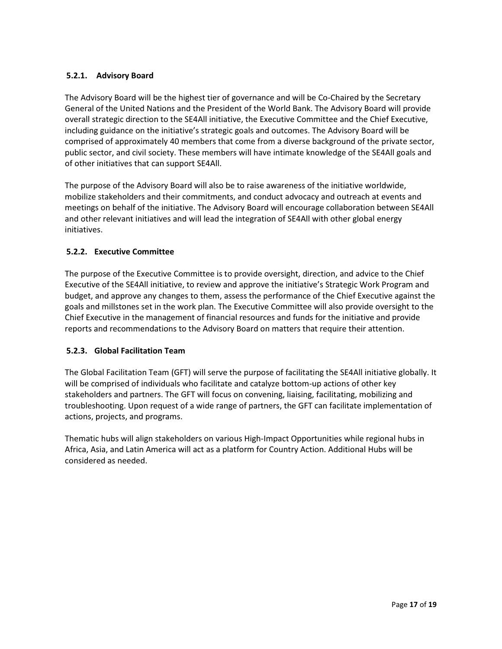# 5.2.1. Advisory Board

The Advisory Board will be the highest tier of governance and will be Co-Chaired by the Secretary General of the United Nations and the President of the World Bank. The Advisory Board will provide overall strategic direction to the SE4All initiative, the Executive Committee and the Chief Executive, including guidance on the initiative's strategic goals and outcomes. The Advisory Board will be comprised of approximately 40 members that come from a diverse background of the private sector, public sector, and civil society. These members will have intimate knowledge of the SE4All goals and of other initiatives that can support SE4All.

The purpose of the Advisory Board will also be to raise awareness of the initiative worldwide, mobilize stakeholders and their commitments, and conduct advocacy and outreach at events and meetings on behalf of the initiative. The Advisory Board will encourage collaboration between SE4All and other relevant initiatives and will lead the integration of SE4All with other global energy initiatives.

## 5.2.2. Executive Committee

The purpose of the Executive Committee is to provide oversight, direction, and advice to the Chief Executive of the SE4All initiative, to review and approve the initiative's Strategic Work Program and budget, and approve any changes to them, assess the performance of the Chief Executive against the goals and millstones set in the work plan. The Executive Committee will also provide oversight to the Chief Executive in the management of financial resources and funds for the initiative and provide reports and recommendations to the Advisory Board on matters that require their attention.

## 5.2.3. Global Facilitation Team

The Global Facilitation Team (GFT) will serve the purpose of facilitating the SE4All initiative globally. It will be comprised of individuals who facilitate and catalyze bottom-up actions of other key stakeholders and partners. The GFT will focus on convening, liaising, facilitating, mobilizing and troubleshooting. Upon request of a wide range of partners, the GFT can facilitate implementation of actions, projects, and programs.

Thematic hubs will align stakeholders on various High-Impact Opportunities while regional hubs in Africa, Asia, and Latin America will act as a platform for Country Action. Additional Hubs will be considered as needed.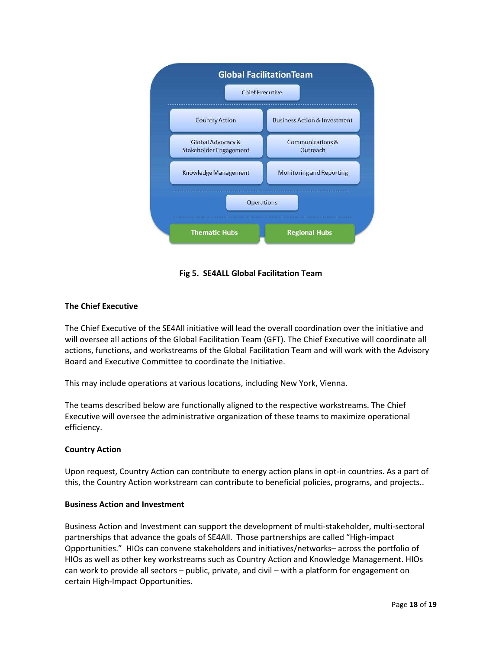

Fig 5. SE4ALL Global Facilitation Team

# The Chief Executive

The Chief Executive of the SE4All initiative will lead the overall coordination over the initiative and will oversee all actions of the Global Facilitation Team (GFT). The Chief Executive will coordinate all actions, functions, and workstreams of the Global Facilitation Team and will work with the Advisory Board and Executive Committee to coordinate the Initiative.

This may include operations at various locations, including New York, Vienna.

The teams described below are functionally aligned to the respective workstreams. The Chief Executive will oversee the administrative organization of these teams to maximize operational efficiency.

## Country Action

Upon request, Country Action can contribute to energy action plans in opt-in countries. As a part of this, the Country Action workstream can contribute to beneficial policies, programs, and projects..

## Business Action and Investment

Business Action and Investment can support the development of multi-stakeholder, multi-sectoral partnerships that advance the goals of SE4All. Those partnerships are called "High-impact Opportunities." HIOs can convene stakeholders and initiatives/networks– across the portfolio of HIOs as well as other key workstreams such as Country Action and Knowledge Management. HIOs can work to provide all sectors – public, private, and civil – with a platform for engagement on certain High-Impact Opportunities.